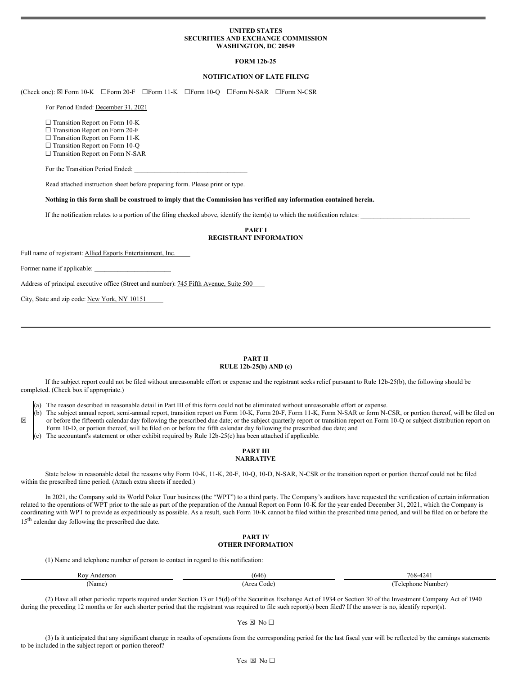### **UNITED STATES SECURITIES AND EXCHANGE COMMISSION WASHINGTON, DC 20549**

# **FORM 12b-25**

### **NOTIFICATION OF LATE FILING**

(Check one): ☒ Form 10-K ☐Form 20-F ☐Form 11-K ☐Form 10-Q ☐Form N-SAR ☐Form N-CSR

For Period Ended: December 31, 2021

□ Transition Report on Form 10-K

□ Transition Report on Form 20-F

□ Transition Report on Form 11-K

□ Transition Report on Form 10-Q

□ Transition Report on Form N-SAR

For the Transition Period Ended:

Read attached instruction sheet before preparing form. Please print or type.

Nothing in this form shall be construed to imply that the Commission has verified any information contained herein.

If the notification relates to a portion of the filing checked above, identify the item(s) to which the notification relates:

# **PART I REGISTRANT INFORMATION**

Full name of registrant: Allied Esports Entertainment, Inc.

Former name if applicable:

☒

Address of principal executive office (Street and number): 745 Fifth Avenue, Suite 500

City, State and zip code: New York, NY 10151

#### **PART II RULE 12b-25(b) AND (c)**

If the subject report could not be filed without unreasonable effort or expense and the registrant seeks relief pursuant to Rule 12b-25(b), the following should be completed. (Check box if appropriate.)

(a) The reason described in reasonable detail in Part III of this form could not be eliminated without unreasonable effort or expense.

b) The subject annual report, semi-annual report, transition report on Form 10-K, Form 20-F, Form 11-K, Form N-SAR or form N-CSR, or portion thereof, will be filed on or before the fifteenth calendar day following the prescribed due date; or the subject quarterly report or transition report on Form 10-Q or subject distribution report on Form 10-D, or portion thereof, will be filed on or before the fifth calendar day following the prescribed due date; and

The accountant's statement or other exhibit required by Rule  $12b-25(c)$  has been attached if applicable.

### **PART III NARRATIVE**

State below in reasonable detail the reasons why Form 10-K, 11-K, 20-F, 10-Q, 10-D, N-SAR, N-CSR or the transition report or portion thereof could not be filed within the prescribed time period. (Attach extra sheets if needed.)

In 2021, the Company sold its World Poker Tour business (the "WPT") to a third party. The Company's auditors have requested the verification of certain information related to the operations of WPT prior to the sale as part of the preparation of the Annual Report on Form 10-K for the year ended December 31, 2021, which the Company is coordinating with WPT to provide as expeditiously as possible. As a result, such Form 10-K cannot be filed within the prescribed time period, and will be filed on or before the 15<sup>th</sup> calendar day following the prescribed due date.

#### **PART IV OTHER INFORMATION**

(1) Name and telephone number of person to contact in regard to this notification:

| Roy<br>Anderson | 646       | 768-4241          |
|-----------------|-----------|-------------------|
| (Name)          | Area Code | Telephone Number) |

(2) Have all other periodic reports required under Section 13 or 15(d) of the Securities Exchange Act of 1934 or Section 30 of the Investment Company Act of 1940 during the preceding 12 months or for such shorter period that the registrant was required to file such report(s) been filed? If the answer is no, identify report(s).

Yes  $\boxtimes$  No  $\square$ 

(3) Is it anticipated that any significant change in results of operations from the corresponding period for the last fiscal year will be reflected by the earnings statements to be included in the subject report or portion thereof?